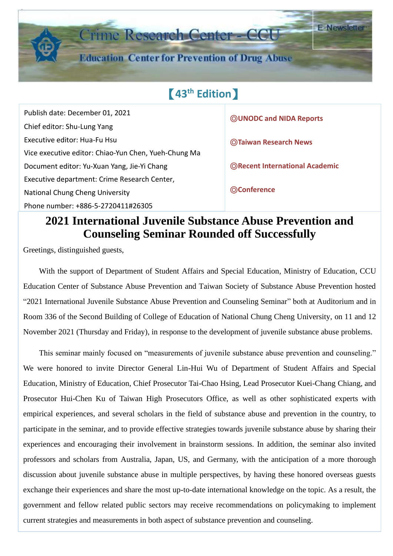

Publish date: December 01, 2021 Chief editor: Shu-Lung Yang Executive editor: Hua-Fu Hsu Vice executive editor: Chiao-Yun Chen, Yueh-Chung Ma Document editor: Yu-Xuan Yang, Jie-Yi Chang Executive department: Crime Research Center, National Chung Cheng University Phone number: +886-5-2720411#26305 Ĩ.

◎**UNODC and NIDA Reports** 

◎**Taiwan Research News** 

◎**Recent International Academic**

◎**Conference**

## **2021 International Juvenile Substance Abuse Prevention and Counseling Seminar Rounded off Successfully**

Greetings, distinguished guests,

With the support of Department of Student Affairs and Special Education, Ministry of Education, CCU Education Center of Substance Abuse Prevention and Taiwan Society of Substance Abuse Prevention hosted "2021 International Juvenile Substance Abuse Prevention and Counseling Seminar" both at Auditorium and in Room 336 of the Second Building of College of Education of National Chung Cheng University, on 11 and 12 November 2021 (Thursday and Friday), in response to the development of juvenile substance abuse problems.

This seminar mainly focused on "measurements of juvenile substance abuse prevention and counseling." We were honored to invite Director General Lin-Hui Wu of Department of Student Affairs and Special Education, Ministry of Education, Chief Prosecutor Tai-Chao Hsing, Lead Prosecutor Kuei-Chang Chiang, and Prosecutor Hui-Chen Ku of Taiwan High Prosecutors Office, as well as other sophisticated experts with empirical experiences, and several scholars in the field of substance abuse and prevention in the country, to participate in the seminar, and to provide effective strategies towards juvenile substance abuse by sharing their experiences and encouraging their involvement in brainstorm sessions. In addition, the seminar also invited professors and scholars from Australia, Japan, US, and Germany, with the anticipation of a more thorough discussion about juvenile substance abuse in multiple perspectives, by having these honored overseas guests exchange their experiences and share the most up-to-date international knowledge on the topic. As a result, the government and fellow related public sectors may receive recommendations on policymaking to implement current strategies and measurements in both aspect of substance prevention and counseling.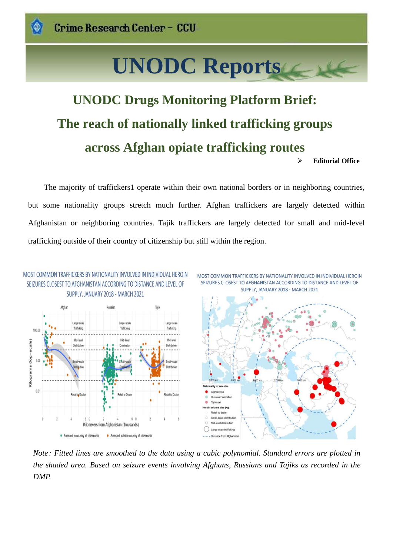# **UNODC Reports**

## **UNODC Drugs Monitoring Platform Brief: The reach of nationally linked trafficking groups across Afghan opiate trafficking routes** ➢ **Editorial Office**

The majority of traffickers1 operate within their own national borders or in neighboring countries, but some nationality groups stretch much further. Afghan traffickers are largely detected within Afghanistan or neighboring countries. Tajik traffickers are largely detected for small and mid-level trafficking outside of their country of citizenship but still within the region.







*Note: Fitted lines are smoothed to the data using a cubic polynomial. Standard errors are plotted in the shaded area. Based on seizure events involving Afghans, Russians and Tajiks as recorded in the DMP.*

Ĩ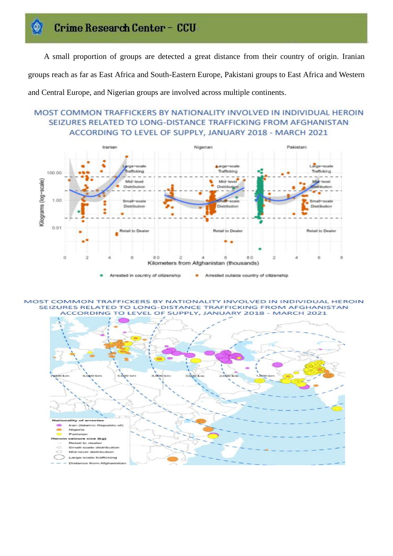A small proportion of groups are detected a great distance from their country of origin. Iranian groups reach as far as East Africa and South-Eastern Europe, Pakistani groups to East Africa and Western and Central Europe, and Nigerian groups are involved across multiple continents.

#### MOST COMMON TRAFFICKERS BY NATIONALITY INVOLVED IN INDIVIDUAL HEROIN SEIZURES RELATED TO LONG-DISTANCE TRAFFICKING FROM AFGHANISTAN ACCORDING TO LEVEL OF SUPPLY, JANUARY 2018 - MARCH 2021



Arrested in country of citizenship Arrested outside country of citizenship ۰

MOST COMMON TRAFFICKERS BY NATIONALITY INVOLVED IN INDIVIDUAL HEROIN SEIZURES RELATED TO LONG-DISTANCE TRAFFICKING FROM AFGHANISTAN ACCORDING TO LEVEL OF SUPPLY, JANUARY 2018 - MARCH 2021

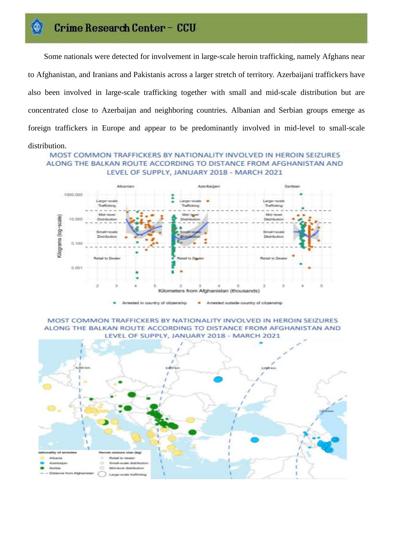Some nationals were detected for involvement in large-scale heroin trafficking, namely Afghans near to Afghanistan, and Iranians and Pakistanis across a larger stretch of territory. Azerbaijani traffickers have also been involved in large-scale trafficking together with small and mid-scale distribution but are concentrated close to Azerbaijan and neighboring countries. Albanian and Serbian groups emerge as foreign traffickers in Europe and appear to be predominantly involved in mid-level to small-scale

#### distribution.

MOST COMMON TRAFFICKERS BY NATIONALITY INVOLVED IN HEROIN SEIZURES ALONG THE BALKAN ROUTE ACCORDING TO DISTANCE FROM AFGHANISTAN AND LEVEL OF SUPPLY, JANUARY 2018 - MARCH 2021



MOST COMMON TRAFFICKERS BY NATIONALITY INVOLVED IN HEROIN SEIZURES ALONG THE BALKAN ROUTE ACCORDING TO DISTANCE FROM AFGHANISTAN AND LEVEL OF SUPPLY, JANUARY 2018 - MARCH 2021

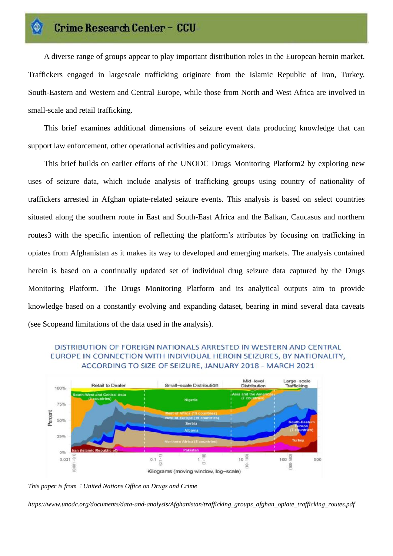A diverse range of groups appear to play important distribution roles in the European heroin market. Traffickers engaged in largescale trafficking originate from the Islamic Republic of Iran, Turkey, South-Eastern and Western and Central Europe, while those from North and West Africa are involved in small-scale and retail trafficking.

This brief examines additional dimensions of seizure event data producing knowledge that can support law enforcement, other operational activities and policymakers.

This brief builds on earlier efforts of the UNODC Drugs Monitoring Platform2 by exploring new uses of seizure data, which include analysis of trafficking groups using country of nationality of traffickers arrested in Afghan opiate-related seizure events. This analysis is based on select countries situated along the southern route in East and South-East Africa and the Balkan, Caucasus and northern routes3 with the specific intention of reflecting the platform's attributes by focusing on trafficking in opiates from Afghanistan as it makes its way to developed and emerging markets. The analysis contained herein is based on a continually updated set of individual drug seizure data captured by the Drugs Monitoring Platform. The Drugs Monitoring Platform and its analytical outputs aim to provide knowledge based on a constantly evolving and expanding dataset, bearing in mind several data caveats (see Scopeand limitations of the data used in the analysis).

#### DISTRIBUTION OF FOREIGN NATIONALS ARRESTED IN WESTERN AND CENTRAL EUROPE IN CONNECTION WITH INDIVIDUAL HEROIN SEIZURES, BY NATIONALITY, ACCORDING TO SIZE OF SEIZURE, JANUARY 2018 - MARCH 2021



*This paper is from*:*United Nations Office on Drugs and Crime*

*https://www.unodc.org/documents/data-and-analysis/Afghanistan/trafficking\_groups\_afghan\_opiate\_trafficking\_routes.pdf*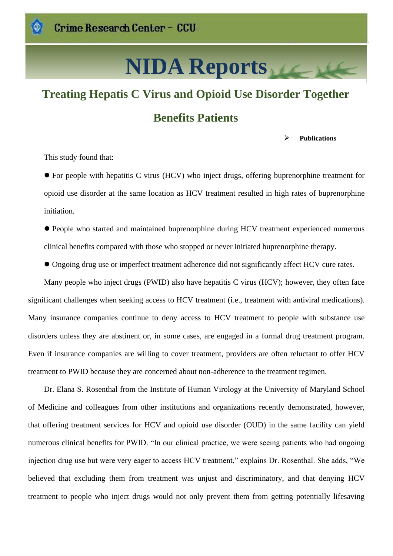# **NIDA Reports**

## **Treating Hepatis C Virus and Opioid Use Disorder Together Benefits Patients**

➢ **Publications**

This study found that:

● For people with hepatitis C virus (HCV) who inject drugs, offering buprenorphine treatment for opioid use disorder at the same location as HCV treatment resulted in high rates of buprenorphine initiation.

⚫ People who started and maintained buprenorphine during HCV treatment experienced numerous clinical benefits compared with those who stopped or never initiated buprenorphine therapy.

⚫ Ongoing drug use or imperfect treatment adherence did not significantly affect HCV cure rates.

Many people who inject drugs (PWID) also have hepatitis C virus (HCV); however, they often face significant challenges when seeking access to HCV treatment (i.e., treatment with antiviral medications). Many insurance companies continue to deny access to HCV treatment to people with substance use disorders unless they are abstinent or, in some cases, are engaged in a formal drug treatment program. Even if insurance companies are willing to cover treatment, providers are often reluctant to offer HCV treatment to PWID because they are concerned about non-adherence to the treatment regimen.

Dr. Elana S. Rosenthal from the Institute of Human Virology at the University of Maryland School of Medicine and colleagues from other institutions and organizations recently demonstrated, however, that offering treatment services for HCV and opioid use disorder (OUD) in the same facility can yield numerous clinical benefits for PWID. "In our clinical practice, we were seeing patients who had ongoing injection drug use but were very eager to access HCV treatment," explains Dr. Rosenthal. She adds, "We believed that excluding them from treatment was unjust and discriminatory, and that denying HCV treatment to people who inject drugs would not only prevent them from getting potentially lifesaving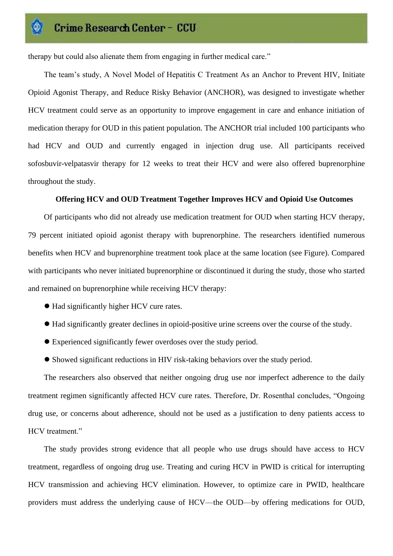therapy but could also alienate them from engaging in further medical care."

The team's study, A Novel Model of Hepatitis C Treatment As an Anchor to Prevent HIV, Initiate Opioid Agonist Therapy, and Reduce Risky Behavior (ANCHOR), was designed to investigate whether HCV treatment could serve as an opportunity to improve engagement in care and enhance initiation of medication therapy for OUD in this patient population. The ANCHOR trial included 100 participants who had HCV and OUD and currently engaged in injection drug use. All participants received sofosbuvir-velpatasvir therapy for 12 weeks to treat their HCV and were also offered buprenorphine throughout the study.

#### **Offering HCV and OUD Treatment Together Improves HCV and Opioid Use Outcomes**

Of participants who did not already use medication treatment for OUD when starting HCV therapy, 79 percent initiated opioid agonist therapy with buprenorphine. The researchers identified numerous benefits when HCV and buprenorphine treatment took place at the same location (see Figure). Compared with participants who never initiated buprenorphine or discontinued it during the study, those who started and remained on buprenorphine while receiving HCV therapy:

- ⚫ Had significantly higher HCV cure rates.
- ⚫ Had significantly greater declines in opioid-positive urine screens over the course of the study.
- ⚫ Experienced significantly fewer overdoses over the study period.
- ⚫ Showed significant reductions in HIV risk-taking behaviors over the study period.

The researchers also observed that neither ongoing drug use nor imperfect adherence to the daily treatment regimen significantly affected HCV cure rates. Therefore, Dr. Rosenthal concludes, "Ongoing drug use, or concerns about adherence, should not be used as a justification to deny patients access to HCV treatment."

The study provides strong evidence that all people who use drugs should have access to HCV treatment, regardless of ongoing drug use. Treating and curing HCV in PWID is critical for interrupting HCV transmission and achieving HCV elimination. However, to optimize care in PWID, healthcare providers must address the underlying cause of HCV—the OUD—by offering medications for OUD,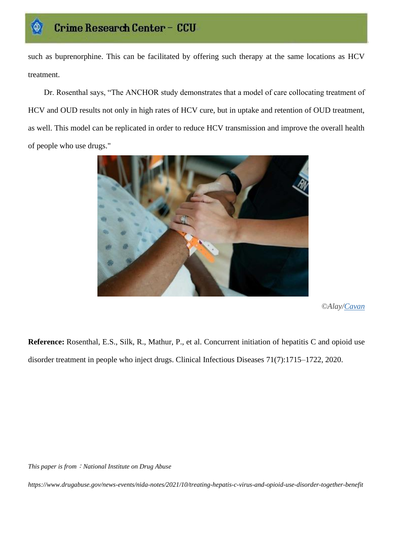such as buprenorphine. This can be facilitated by offering such therapy at the same locations as HCV treatment.

Dr. Rosenthal says, "The ANCHOR study demonstrates that a model of care collocating treatment of HCV and OUD results not only in high rates of HCV cure, but in uptake and retention of OUD treatment, as well. This model can be replicated in order to reduce HCV transmission and improve the overall health of people who use drugs."



*© Alay[/Cavan](https://www.alamy.com/search/imageresults.aspx?cid=6LAVLT6L6LCKCVBBJJAP3YUUJP7DVKZKZ7AF8JWVGY7B8KF8Y7TU79Q3HLSCTJQ4&name=Cavan%2bImages&st=12&mode=0&comp=1)*

**Reference:** Rosenthal, E.S., Silk, R., Mathur, P., et al. Concurrent initiation of hepatitis C and opioid use disorder treatment in people who inject drugs. Clinical Infectious Diseases 71(7):1715–1722, 2020.

*This paper is from*:*National Institute on Drug Abuse*

*https://www.drugabuse.gov/news-events/nida-notes/2021/10/treating-hepatis-c-virus-and-opioid-use-disorder-together-benefit*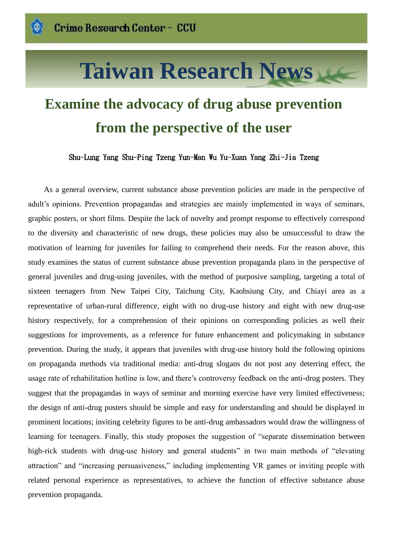# **Taiwan Research News**

## **Examine the advocacy of drug abuse prevention from the perspective of the user**

Shu-Lung Yang Shu-Ping Tzeng Yun-Man Wu Yu-Xuan Yang Zhi-Jia Tzeng

As a general overview, current substance abuse prevention policies are made in the perspective of adult's opinions. Prevention propagandas and strategies are mainly implemented in ways of seminars, graphic posters, or short films. Despite the lack of novelty and prompt response to effectively correspond to the diversity and characteristic of new drugs, these policies may also be unsuccessful to draw the motivation of learning for juveniles for failing to comprehend their needs. For the reason above, this study examines the status of current substance abuse prevention propaganda plans in the perspective of general juveniles and drug-using juveniles, with the method of purposive sampling, targeting a total of sixteen teenagers from New Taipei City, Taichung City, Kaohsiung City, and Chiayi area as a representative of urban-rural difference, eight with no drug-use history and eight with new drug-use history respectively, for a comprehension of their opinions on corresponding policies as well their suggestions for improvements, as a reference for future enhancement and policymaking in substance prevention. During the study, it appears that juveniles with drug-use history hold the following opinions on propaganda methods via traditional media: anti-drug slogans do not post any deterring effect, the usage rate of rehabilitation hotline is low, and there's controversy feedback on the anti-drug posters. They suggest that the propagandas in ways of seminar and morning exercise have very limited effectiveness; the design of anti-drug posters should be simple and easy for understanding and should be displayed in prominent locations; inviting celebrity figures to be anti-drug ambassadors would draw the willingness of learning for teenagers. Finally, this study proposes the suggestion of "separate dissemination between high-rick students with drug-use history and general students" in two main methods of "elevating attraction" and "increasing persuasiveness," including implementing VR games or inviting people with related personal experience as representatives, to achieve the function of effective substance abuse prevention propaganda.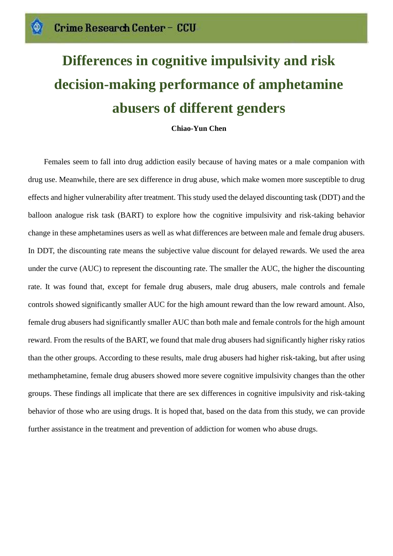# **Differences in cognitive impulsivity and risk decision-making performance of amphetamine abusers of different genders**

#### **Chiao-Yun Chen**

Females seem to fall into drug addiction easily because of having mates or a male companion with drug use. Meanwhile, there are sex difference in drug abuse, which make women more susceptible to drug effects and higher vulnerability after treatment. This study used the delayed discounting task (DDT) and the balloon analogue risk task (BART) to explore how the cognitive impulsivity and risk-taking behavior change in these amphetamines users as well as what differences are between male and female drug abusers. In DDT, the discounting rate means the subjective value discount for delayed rewards. We used the area under the curve (AUC) to represent the discounting rate. The smaller the AUC, the higher the discounting rate. It was found that, except for female drug abusers, male drug abusers, male controls and female controls showed significantly smaller AUC for the high amount reward than the low reward amount. Also, female drug abusers had significantly smaller AUC than both male and female controls for the high amount reward. From the results of the BART, we found that male drug abusers had significantly higher risky ratios than the other groups. According to these results, male drug abusers had higher risk-taking, but after using methamphetamine, female drug abusers showed more severe cognitive impulsivity changes than the other groups. These findings all implicate that there are sex differences in cognitive impulsivity and risk-taking behavior of those who are using drugs. It is hoped that, based on the data from this study, we can provide further assistance in the treatment and prevention of addiction for women who abuse drugs.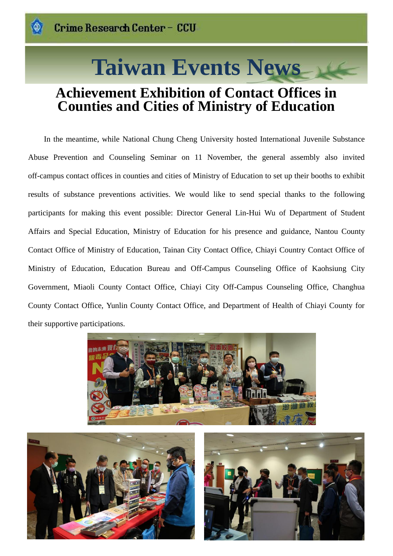# **Taiwan Events News**

## **Achievement Exhibition of Contact Offices in Counties and Cities of Ministry of Education**

In the meantime, while National Chung Cheng University hosted International Juvenile Substance Abuse Prevention and Counseling Seminar on 11 November, the general assembly also invited off-campus contact offices in counties and cities of Ministry of Education to set up their booths to exhibit results of substance preventions activities. We would like to send special thanks to the following participants for making this event possible: Director General Lin-Hui Wu of Department of Student Affairs and Special Education, Ministry of Education for his presence and guidance, Nantou County Contact Office of Ministry of Education, Tainan City Contact Office, Chiayi Country Contact Office of Ministry of Education, Education Bureau and Off-Campus Counseling Office of Kaohsiung City Government, Miaoli County Contact Office, Chiayi City Off-Campus Counseling Office, Changhua County Contact Office, Yunlin County Contact Office, and Department of Health of Chiayi County for their supportive participations.





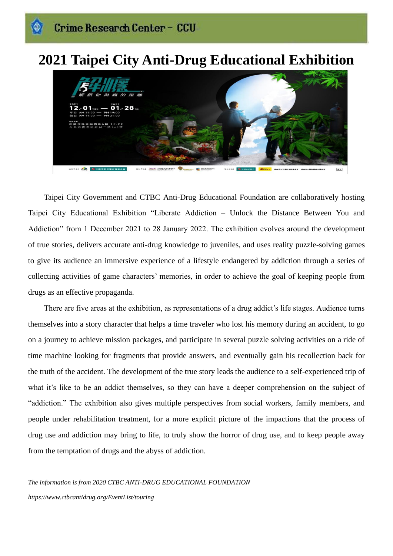## **2021 Taipei City Anti-Drug Educational Exhibition**



Taipei City Government and CTBC Anti-Drug Educational Foundation are collaboratively hosting Taipei City Educational Exhibition "Liberate Addiction – Unlock the Distance Between You and Addiction" from 1 December 2021 to 28 January 2022. The exhibition evolves around the development of true stories, delivers accurate anti-drug knowledge to juveniles, and uses reality puzzle-solving games to give its audience an immersive experience of a lifestyle endangered by addiction through a series of collecting activities of game characters' memories, in order to achieve the goal of keeping people from drugs as an effective propaganda.

There are five areas at the exhibition, as representations of a drug addict's life stages. Audience turns themselves into a story character that helps a time traveler who lost his memory during an accident, to go on a journey to achieve mission packages, and participate in several puzzle solving activities on a ride of time machine looking for fragments that provide answers, and eventually gain his recollection back for the truth of the accident. The development of the true story leads the audience to a self-experienced trip of what it's like to be an addict themselves, so they can have a deeper comprehension on the subject of "addiction." The exhibition also gives multiple perspectives from social workers, family members, and people under rehabilitation treatment, for a more explicit picture of the impactions that the process of drug use and addiction may bring to life, to truly show the horror of drug use, and to keep people away from the temptation of drugs and the abyss of addiction.

*The information is from 2020 CTBC ANTI-DRUG EDUCATIONAL FOUNDATION https://www.ctbcantidrug.org/EventList/touring*